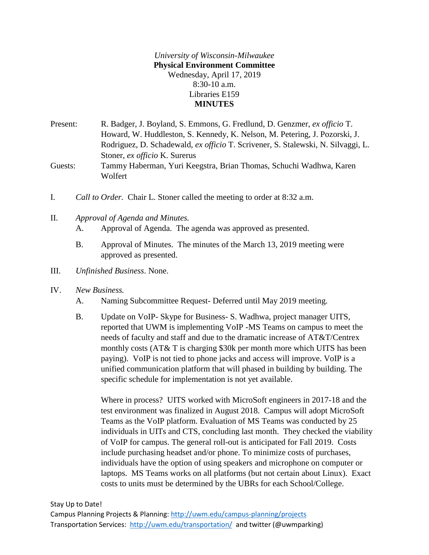*University of Wisconsin-Milwaukee* **Physical Environment Committee** Wednesday, April 17, 2019 8:30-10 a.m. Libraries E159 **MINUTES**

Present: R. Badger, J. Boyland, S. Emmons, G. Fredlund, D. Genzmer, *ex officio* T. Howard, W. Huddleston, S. Kennedy, K. Nelson, M. Petering, J. Pozorski, J. Rodriguez, D. Schadewald, *ex officio* T. Scrivener, S. Stalewski, N. Silvaggi, L. Stoner, *ex officio* K. Surerus Guests: Tammy Haberman, Yuri Keegstra, Brian Thomas, Schuchi Wadhwa, Karen

- I. *Call to Order.* Chair L. Stoner called the meeting to order at 8:32 a.m.
- II. *Approval of Agenda and Minutes.*

Wolfert

A. Approval of Agenda. The agenda was approved as presented.

- B. Approval of Minutes. The minutes of the March 13, 2019 meeting were approved as presented.
- III. *Unfinished Business*. None.
- IV. *New Business.*
	- A. Naming Subcommittee Request- Deferred until May 2019 meeting.
	- B. Update on VoIP- Skype for Business- S. Wadhwa, project manager UITS, reported that UWM is implementing VoIP -MS Teams on campus to meet the needs of faculty and staff and due to the dramatic increase of AT&T/Centrex monthly costs (AT& T is charging \$30k per month more which UITS has been paying). VoIP is not tied to phone jacks and access will improve. VoIP is a unified communication platform that will phased in building by building. The specific schedule for implementation is not yet available.

Where in process? UITS worked with MicroSoft engineers in 2017-18 and the test environment was finalized in August 2018. Campus will adopt MicroSoft Teams as the VoIP platform. Evaluation of MS Teams was conducted by 25 individuals in UITs and CTS, concluding last month. They checked the viability of VoIP for campus. The general roll-out is anticipated for Fall 2019. Costs include purchasing headset and/or phone. To minimize costs of purchases, individuals have the option of using speakers and microphone on computer or laptops. MS Teams works on all platforms (but not certain about Linux). Exact costs to units must be determined by the UBRs for each School/College.